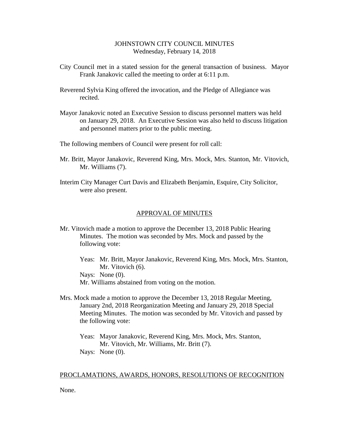# JOHNSTOWN CITY COUNCIL MINUTES Wednesday, February 14, 2018

- City Council met in a stated session for the general transaction of business. Mayor Frank Janakovic called the meeting to order at 6:11 p.m.
- Reverend Sylvia King offered the invocation, and the Pledge of Allegiance was recited.
- Mayor Janakovic noted an Executive Session to discuss personnel matters was held on January 29, 2018. An Executive Session was also held to discuss litigation and personnel matters prior to the public meeting.
- The following members of Council were present for roll call:
- Mr. Britt, Mayor Janakovic, Reverend King, Mrs. Mock, Mrs. Stanton, Mr. Vitovich, Mr. Williams (7).
- Interim City Manager Curt Davis and Elizabeth Benjamin, Esquire, City Solicitor, were also present.

## APPROVAL OF MINUTES

- Mr. Vitovich made a motion to approve the December 13, 2018 Public Hearing Minutes. The motion was seconded by Mrs. Mock and passed by the following vote:
	- Yeas: Mr. Britt, Mayor Janakovic, Reverend King, Mrs. Mock, Mrs. Stanton, Mr. Vitovich  $(6)$ . Nays: None  $(0)$ . Mr. Williams abstained from voting on the motion.
- Mrs. Mock made a motion to approve the December 13, 2018 Regular Meeting, January 2nd, 2018 Reorganization Meeting and January 29, 2018 Special Meeting Minutes. The motion was seconded by Mr. Vitovich and passed by the following vote:
	- Yeas: Mayor Janakovic, Reverend King, Mrs. Mock, Mrs. Stanton, Mr. Vitovich, Mr. Williams, Mr. Britt (7). Nays: None (0).

## PROCLAMATIONS, AWARDS, HONORS, RESOLUTIONS OF RECOGNITION

None.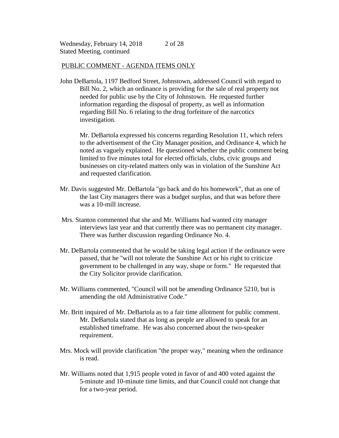# PUBLIC COMMENT - AGENDA ITEMS ONLY

John DeBartola, 1197 Bedford Street, Johnstown, addressed Council with regard to Bill No. 2, which an ordinance is providing for the sale of real property not needed for public use by the City of Johnstown. He requested further information regarding the disposal of property, as well as information regarding Bill No. 6 relating to the drug forfeiture of the narcotics investigation.

Mr. DeBartola expressed his concerns regarding Resolution 11, which refers to the advertisement of the City Manager position, and Ordinance 4, which he noted as vaguely explained. He questioned whether the public comment being limited to five minutes total for elected officials, clubs, civic groups and businesses on city-related matters only was in violation of the Sunshine Act and requested clarification.

- Mr. Davis suggested Mr. DeBartola "go back and do his homework", that as one of the last City managers there was a budget surplus, and that was before there was a 10-mill increase.
- Mrs. Stanton commented that she and Mr. Williams had wanted city manager interviews last year and that currently there was no permanent city manager. There was further discussion regarding Ordinance No. 4.
- Mr. DeBartola commented that he would be taking legal action if the ordinance were passed, that he "will not tolerate the Sunshine Act or his right to criticize government to be challenged in any way, shape or form." He requested that the City Solicitor provide clarification.
- Mr. Williams commented, "Council will not be amending Ordinance 5210, but is amending the old Administrative Code."
- Mr. Britt inquired of Mr. DeBartola as to a fair time allotment for public comment. Mr. DeBartola stated that as long as people are allowed to speak for an established timeframe. He was also concerned about the two-speaker requirement.
- Mrs. Mock will provide clarification "the proper way," meaning when the ordinance is read.
- Mr. Williams noted that 1,915 people voted in favor of and 400 voted against the 5-minute and 10-minute time limits, and that Council could not change that for a two-year period.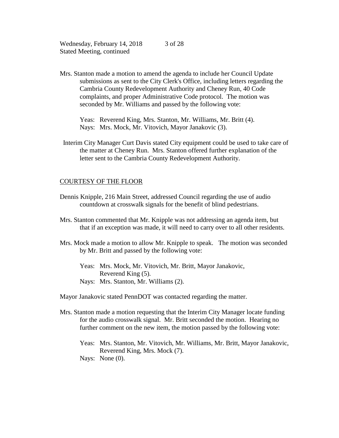Mrs. Stanton made a motion to amend the agenda to include her Council Update submissions as sent to the City Clerk's Office, including letters regarding the Cambria County Redevelopment Authority and Cheney Run, 40 Code complaints, and proper Administrative Code protocol. The motion was seconded by Mr. Williams and passed by the following vote:

Yeas: Reverend King, Mrs. Stanton, Mr. Williams, Mr. Britt (4). Nays: Mrs. Mock, Mr. Vitovich, Mayor Janakovic (3).

 Interim City Manager Curt Davis stated City equipment could be used to take care of the matter at Cheney Run. Mrs. Stanton offered further explanation of the letter sent to the Cambria County Redevelopment Authority.

### COURTESY OF THE FLOOR

- Dennis Knipple, 216 Main Street, addressed Council regarding the use of audio countdown at crosswalk signals for the benefit of blind pedestrians.
- Mrs. Stanton commented that Mr. Knipple was not addressing an agenda item, but that if an exception was made, it will need to carry over to all other residents.
- Mrs. Mock made a motion to allow Mr. Knipple to speak. The motion was seconded by Mr. Britt and passed by the following vote:
	- Yeas: Mrs. Mock, Mr. Vitovich, Mr. Britt, Mayor Janakovic, Reverend King (5).
	- Nays: Mrs. Stanton, Mr. Williams (2).

Mayor Janakovic stated PennDOT was contacted regarding the matter.

- Mrs. Stanton made a motion requesting that the Interim City Manager locate funding for the audio crosswalk signal. Mr. Britt seconded the motion. Hearing no further comment on the new item, the motion passed by the following vote:
	- Yeas: Mrs. Stanton, Mr. Vitovich, Mr. Williams, Mr. Britt, Mayor Janakovic, Reverend King, Mrs. Mock (7). Nays: None (0).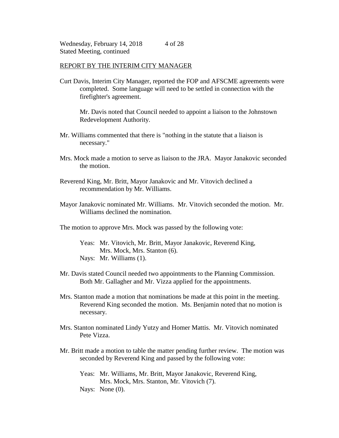## REPORT BY THE INTERIM CITY MANAGER

Curt Davis, Interim City Manager, reported the FOP and AFSCME agreements were completed. Some language will need to be settled in connection with the firefighter's agreement.

Mr. Davis noted that Council needed to appoint a liaison to the Johnstown Redevelopment Authority.

- Mr. Williams commented that there is "nothing in the statute that a liaison is necessary."
- Mrs. Mock made a motion to serve as liaison to the JRA. Mayor Janakovic seconded the motion.
- Reverend King, Mr. Britt, Mayor Janakovic and Mr. Vitovich declined a recommendation by Mr. Williams.
- Mayor Janakovic nominated Mr. Williams. Mr. Vitovich seconded the motion. Mr. Williams declined the nomination.

The motion to approve Mrs. Mock was passed by the following vote:

- Yeas: Mr. Vitovich, Mr. Britt, Mayor Janakovic, Reverend King, Mrs. Mock, Mrs. Stanton (6). Nays: Mr. Williams (1).
- Mr. Davis stated Council needed two appointments to the Planning Commission. Both Mr. Gallagher and Mr. Vizza applied for the appointments.
- Mrs. Stanton made a motion that nominations be made at this point in the meeting. Reverend King seconded the motion. Ms. Benjamin noted that no motion is necessary.
- Mrs. Stanton nominated Lindy Yutzy and Homer Mattis. Mr. Vitovich nominated Pete Vizza.
- Mr. Britt made a motion to table the matter pending further review. The motion was seconded by Reverend King and passed by the following vote:
	- Yeas: Mr. Williams, Mr. Britt, Mayor Janakovic, Reverend King, Mrs. Mock, Mrs. Stanton, Mr. Vitovich (7). Nays: None  $(0)$ .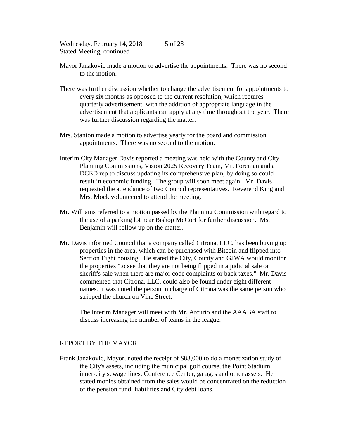- Mayor Janakovic made a motion to advertise the appointments. There was no second to the motion.
- There was further discussion whether to change the advertisement for appointments to every six months as opposed to the current resolution, which requires quarterly advertisement, with the addition of appropriate language in the advertisement that applicants can apply at any time throughout the year. There was further discussion regarding the matter.
- Mrs. Stanton made a motion to advertise yearly for the board and commission appointments. There was no second to the motion.
- Interim City Manager Davis reported a meeting was held with the County and City Planning Commissions, Vision 2025 Recovery Team, Mr. Foreman and a DCED rep to discuss updating its comprehensive plan, by doing so could result in economic funding. The group will soon meet again. Mr. Davis requested the attendance of two Council representatives. Reverend King and Mrs. Mock volunteered to attend the meeting.
- Mr. Williams referred to a motion passed by the Planning Commission with regard to the use of a parking lot near Bishop McCort for further discussion. Ms. Benjamin will follow up on the matter.
- Mr. Davis informed Council that a company called Citrona, LLC, has been buying up properties in the area, which can be purchased with Bitcoin and flipped into Section Eight housing. He stated the City, County and GJWA would monitor the properties "to see that they are not being flipped in a judicial sale or sheriff's sale when there are major code complaints or back taxes." Mr. Davis commented that Citrona, LLC, could also be found under eight different names. It was noted the person in charge of Citrona was the same person who stripped the church on Vine Street.

The Interim Manager will meet with Mr. Arcurio and the AAABA staff to discuss increasing the number of teams in the league.

# REPORT BY THE MAYOR

Frank Janakovic, Mayor, noted the receipt of \$83,000 to do a monetization study of the City's assets, including the municipal golf course, the Point Stadium, inner-city sewage lines, Conference Center, garages and other assets. He stated monies obtained from the sales would be concentrated on the reduction of the pension fund, liabilities and City debt loans.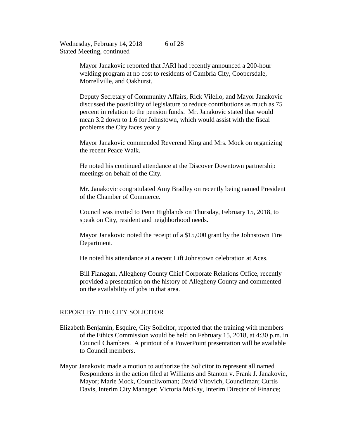> Mayor Janakovic reported that JARI had recently announced a 200-hour welding program at no cost to residents of Cambria City, Coopersdale, Morrellville, and Oakhurst.

Deputy Secretary of Community Affairs, Rick Vilello, and Mayor Janakovic discussed the possibility of legislature to reduce contributions as much as 75 percent in relation to the pension funds. Mr. Janakovic stated that would mean 3.2 down to 1.6 for Johnstown, which would assist with the fiscal problems the City faces yearly.

Mayor Janakovic commended Reverend King and Mrs. Mock on organizing the recent Peace Walk.

He noted his continued attendance at the Discover Downtown partnership meetings on behalf of the City.

Mr. Janakovic congratulated Amy Bradley on recently being named President of the Chamber of Commerce.

Council was invited to Penn Highlands on Thursday, February 15, 2018, to speak on City, resident and neighborhood needs.

Mayor Janakovic noted the receipt of a \$15,000 grant by the Johnstown Fire Department.

He noted his attendance at a recent Lift Johnstown celebration at Aces.

Bill Flanagan, Allegheny County Chief Corporate Relations Office, recently provided a presentation on the history of Allegheny County and commented on the availability of jobs in that area.

# REPORT BY THE CITY SOLICITOR

- Elizabeth Benjamin, Esquire, City Solicitor, reported that the training with members of the Ethics Commission would be held on February 15, 2018, at 4:30 p.m. in Council Chambers. A printout of a PowerPoint presentation will be available to Council members.
- Mayor Janakovic made a motion to authorize the Solicitor to represent all named Respondents in the action filed at Williams and Stanton v. Frank J. Janakovic, Mayor; Marie Mock, Councilwoman; David Vitovich, Councilman; Curtis Davis, Interim City Manager; Victoria McKay, Interim Director of Finance;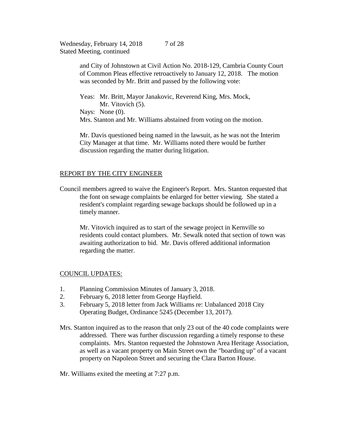> and City of Johnstown at Civil Action No. 2018-129, Cambria County Court of Common Pleas effective retroactively to January 12, 2018. The motion was seconded by Mr. Britt and passed by the following vote:

 Yeas: Mr. Britt, Mayor Janakovic, Reverend King, Mrs. Mock, Mr. Vitovich (5). Nays: None  $(0)$ . Mrs. Stanton and Mr. Williams abstained from voting on the motion.

Mr. Davis questioned being named in the lawsuit, as he was not the Interim City Manager at that time. Mr. Williams noted there would be further discussion regarding the matter during litigation.

# REPORT BY THE CITY ENGINEER

Council members agreed to waive the Engineer's Report. Mrs. Stanton requested that the font on sewage complaints be enlarged for better viewing. She stated a resident's complaint regarding sewage backups should be followed up in a timely manner.

Mr. Vitovich inquired as to start of the sewage project in Kernville so residents could contact plumbers. Mr. Sewalk noted that section of town was awaiting authorization to bid. Mr. Davis offered additional information regarding the matter.

# COUNCIL UPDATES:

- 1. Planning Commission Minutes of January 3, 2018.
- 2. February 6, 2018 letter from George Hayfield.
- 3. February 5, 2018 letter from Jack Williams re: Unbalanced 2018 City Operating Budget, Ordinance 5245 (December 13, 2017).
- Mrs. Stanton inquired as to the reason that only 23 out of the 40 code complaints were addressed. There was further discussion regarding a timely response to these complaints. Mrs. Stanton requested the Johnstown Area Heritage Association, as well as a vacant property on Main Street own the "boarding up" of a vacant property on Napoleon Street and securing the Clara Barton House.
- Mr. Williams exited the meeting at 7:27 p.m.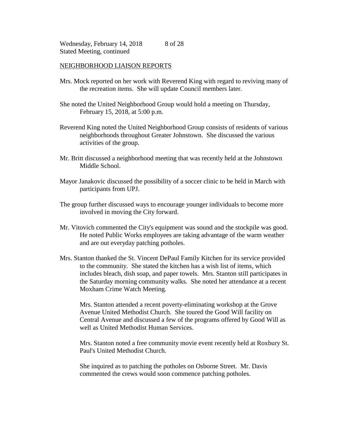### NEIGHBORHOOD LIAISON REPORTS

- Mrs. Mock reported on her work with Reverend King with regard to reviving many of the recreation items. She will update Council members later.
- She noted the United Neighborhood Group would hold a meeting on Thursday, February 15, 2018, at 5:00 p.m.
- Reverend King noted the United Neighborhood Group consists of residents of various neighborhoods throughout Greater Johnstown. She discussed the various activities of the group.
- Mr. Britt discussed a neighborhood meeting that was recently held at the Johnstown Middle School.
- Mayor Janakovic discussed the possibility of a soccer clinic to be held in March with participants from UPJ.
- The group further discussed ways to encourage younger individuals to become more involved in moving the City forward.
- Mr. Vitovich commented the City's equipment was sound and the stockpile was good. He noted Public Works employees are taking advantage of the warm weather and are out everyday patching potholes.
- Mrs. Stanton thanked the St. Vincent DePaul Family Kitchen for its service provided to the community. She stated the kitchen has a wish list of items, which includes bleach, dish soap, and paper towels. Mrs. Stanton still participates in the Saturday morning community walks. She noted her attendance at a recent Moxham Crime Watch Meeting.

Mrs. Stanton attended a recent poverty-eliminating workshop at the Grove Avenue United Methodist Church. She toured the Good Will facility on Central Avenue and discussed a few of the programs offered by Good Will as well as United Methodist Human Services.

Mrs. Stanton noted a free community movie event recently held at Roxbury St. Paul's United Methodist Church.

She inquired as to patching the potholes on Osborne Street. Mr. Davis commented the crews would soon commence patching potholes.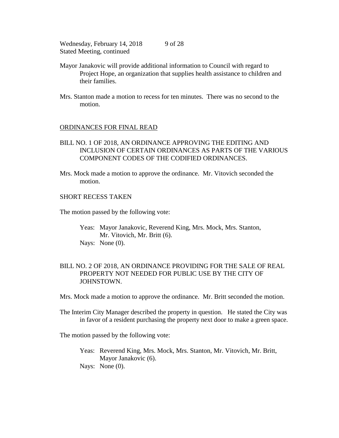- Mayor Janakovic will provide additional information to Council with regard to Project Hope, an organization that supplies health assistance to children and their families.
- Mrs. Stanton made a motion to recess for ten minutes. There was no second to the motion.

## ORDINANCES FOR FINAL READ

- BILL NO. 1 OF 2018, AN ORDINANCE APPROVING THE EDITING AND INCLUSION OF CERTAIN ORDINANCES AS PARTS OF THE VARIOUS COMPONENT CODES OF THE CODIFIED ORDINANCES.
- Mrs. Mock made a motion to approve the ordinance. Mr. Vitovich seconded the motion.

# SHORT RECESS TAKEN

The motion passed by the following vote:

Yeas: Mayor Janakovic, Reverend King, Mrs. Mock, Mrs. Stanton, Mr. Vitovich, Mr. Britt (6). Nays: None (0).

# BILL NO. 2 OF 2018, AN ORDINANCE PROVIDING FOR THE SALE OF REAL PROPERTY NOT NEEDED FOR PUBLIC USE BY THE CITY OF JOHNSTOWN.

Mrs. Mock made a motion to approve the ordinance. Mr. Britt seconded the motion.

The Interim City Manager described the property in question. He stated the City was in favor of a resident purchasing the property next door to make a green space.

The motion passed by the following vote:

Yeas: Reverend King, Mrs. Mock, Mrs. Stanton, Mr. Vitovich, Mr. Britt, Mayor Janakovic (6). Nays: None (0).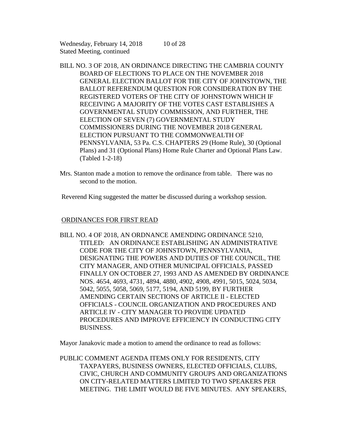- BILL NO. 3 OF 2018, AN ORDINANCE DIRECTING THE CAMBRIA COUNTY BOARD OF ELECTIONS TO PLACE ON THE NOVEMBER 2018 GENERAL ELECTION BALLOT FOR THE CITY OF JOHNSTOWN, THE BALLOT REFERENDUM QUESTION FOR CONSIDERATION BY THE REGISTERED VOTERS OF THE CITY OF JOHNSTOWN WHICH IF RECEIVING A MAJORITY OF THE VOTES CAST ESTABLISHES A GOVERNMENTAL STUDY COMMISSION, AND FURTHER, THE ELECTION OF SEVEN (7) GOVERNMENTAL STUDY COMMISSIONERS DURING THE NOVEMBER 2018 GENERAL ELECTION PURSUANT TO THE COMMONWEALTH OF PENNSYLVANIA, 53 Pa. C.S. CHAPTERS 29 (Home Rule), 30 (Optional Plans) and 31 (Optional Plans) Home Rule Charter and Optional Plans Law. (Tabled 1-2-18)
- Mrs. Stanton made a motion to remove the ordinance from table. There was no second to the motion.

Reverend King suggested the matter be discussed during a workshop session.

# ORDINANCES FOR FIRST READ

BILL NO. 4 OF 2018, AN ORDNANCE AMENDING ORDINANCE 5210, TITLED: AN ORDINANCE ESTABLISHING AN ADMINISTRATIVE CODE FOR THE CITY OF JOHNSTOWN, PENNSYLVANIA, DESIGNATING THE POWERS AND DUTIES OF THE COUNCIL, THE CITY MANAGER, AND OTHER MUNICIPAL OFFICIALS, PASSED FINALLY ON OCTOBER 27, 1993 AND AS AMENDED BY ORDINANCE NOS. 4654, 4693, 4731, 4894, 4880, 4902, 4908, 4991, 5015, 5024, 5034, 5042, 5055, 5058, 5069, 5177, 5194, AND 5199, BY FURTHER AMENDING CERTAIN SECTIONS OF ARTICLE II - ELECTED OFFICIALS - COUNCIL ORGANIZATION AND PROCEDURES AND ARTICLE IV - CITY MANAGER TO PROVIDE UPDATED PROCEDURES AND IMPROVE EFFICIENCY IN CONDUCTING CITY BUSINESS.

Mayor Janakovic made a motion to amend the ordinance to read as follows:

PUBLIC COMMENT AGENDA ITEMS ONLY FOR RESIDENTS, CITY TAXPAYERS, BUSINESS OWNERS, ELECTED OFFICIALS, CLUBS, CIVIC, CHURCH AND COMMUNITY GROUPS AND ORGANIZATIONS ON CITY-RELATED MATTERS LIMITED TO TWO SPEAKERS PER MEETING. THE LIMIT WOULD BE FIVE MINUTES. ANY SPEAKERS,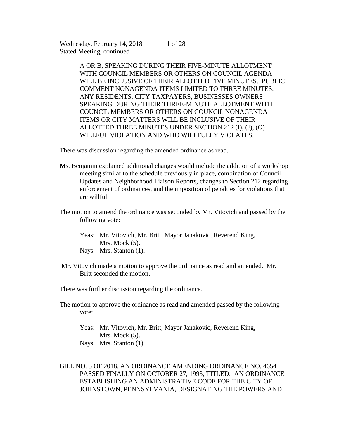> A OR B, SPEAKING DURING THEIR FIVE-MINUTE ALLOTMENT WITH COUNCIL MEMBERS OR OTHERS ON COUNCIL AGENDA WILL BE INCLUSIVE OF THEIR ALLOTTED FIVE MINUTES. PUBLIC COMMENT NONAGENDA ITEMS LIMITED TO THREE MINUTES. ANY RESIDENTS, CITY TAXPAYERS, BUSINESSES OWNERS SPEAKING DURING THEIR THREE-MINUTE ALLOTMENT WITH COUNCIL MEMBERS OR OTHERS ON COUNCIL NONAGENDA ITEMS OR CITY MATTERS WILL BE INCLUSIVE OF THEIR ALLOTTED THREE MINUTES UNDER SECTION 212 (I), (J), (O) WILLFUL VIOLATION AND WHO WILLFULLY VIOLATES.

11 of 28

There was discussion regarding the amended ordinance as read.

- Ms. Benjamin explained additional changes would include the addition of a workshop meeting similar to the schedule previously in place, combination of Council Updates and Neighborhood Liaison Reports, changes to Section 212 regarding enforcement of ordinances, and the imposition of penalties for violations that are willful.
- The motion to amend the ordinance was seconded by Mr. Vitovich and passed by the following vote:

Yeas: Mr. Vitovich, Mr. Britt, Mayor Janakovic, Reverend King, Mrs. Mock  $(5)$ . Nays: Mrs. Stanton (1).

Mr. Vitovich made a motion to approve the ordinance as read and amended. Mr. Britt seconded the motion.

There was further discussion regarding the ordinance.

The motion to approve the ordinance as read and amended passed by the following vote:

Yeas: Mr. Vitovich, Mr. Britt, Mayor Janakovic, Reverend King, Mrs. Mock  $(5)$ . Nays: Mrs. Stanton (1).

BILL NO. 5 OF 2018, AN ORDINANCE AMENDING ORDINANCE NO. 4654 PASSED FINALLY ON OCTOBER 27, 1993, TITLED: AN ORDINANCE ESTABLISHING AN ADMINISTRATIVE CODE FOR THE CITY OF JOHNSTOWN, PENNSYLVANIA, DESIGNATING THE POWERS AND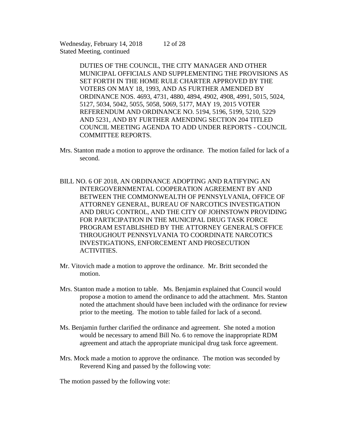> DUTIES OF THE COUNCIL, THE CITY MANAGER AND OTHER MUNICIPAL OFFICIALS AND SUPPLEMENTING THE PROVISIONS AS SET FORTH IN THE HOME RULE CHARTER APPROVED BY THE VOTERS ON MAY 18, 1993, AND AS FURTHER AMENDED BY ORDINANCE NOS. 4693, 4731, 4880, 4894, 4902, 4908, 4991, 5015, 5024, 5127, 5034, 5042, 5055, 5058, 5069, 5177, MAY 19, 2015 VOTER REFERENDUM AND ORDINANCE NO. 5194, 5196, 5199, 5210, 5229 AND 5231, AND BY FURTHER AMENDING SECTION 204 TITLED COUNCIL MEETING AGENDA TO ADD UNDER REPORTS - COUNCIL COMMITTEE REPORTS.

12 of 28

- Mrs. Stanton made a motion to approve the ordinance. The motion failed for lack of a second.
- BILL NO. 6 OF 2018, AN ORDINANCE ADOPTING AND RATIFYING AN INTERGOVERNMENTAL COOPERATION AGREEMENT BY AND BETWEEN THE COMMONWEALTH OF PENNSYLVANIA, OFFICE OF ATTORNEY GENERAL, BUREAU OF NARCOTICS INVESTIGATION AND DRUG CONTROL, AND THE CITY OF JOHNSTOWN PROVIDING FOR PARTICIPATION IN THE MUNICIPAL DRUG TASK FORCE PROGRAM ESTABLISHED BY THE ATTORNEY GENERAL'S OFFICE THROUGHOUT PENNSYLVANIA TO COORDINATE NARCOTICS INVESTIGATIONS, ENFORCEMENT AND PROSECUTION **ACTIVITIES.**
- Mr. Vitovich made a motion to approve the ordinance. Mr. Britt seconded the motion.
- Mrs. Stanton made a motion to table. Ms. Benjamin explained that Council would propose a motion to amend the ordinance to add the attachment. Mrs. Stanton noted the attachment should have been included with the ordinance for review prior to the meeting. The motion to table failed for lack of a second.
- Ms. Benjamin further clarified the ordinance and agreement. She noted a motion would be necessary to amend Bill No. 6 to remove the inappropriate RDM agreement and attach the appropriate municipal drug task force agreement.
- Mrs. Mock made a motion to approve the ordinance. The motion was seconded by Reverend King and passed by the following vote:

The motion passed by the following vote: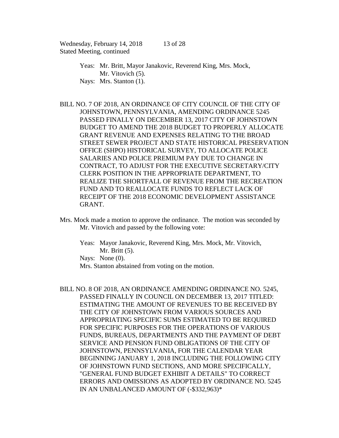Yeas: Mr. Britt, Mayor Janakovic, Reverend King, Mrs. Mock, Mr. Vitovich  $(5)$ . Nays: Mrs. Stanton (1).

- BILL NO. 7 OF 2018, AN ORDINANCE OF CITY COUNCIL OF THE CITY OF JOHNSTOWN, PENNSYLVANIA, AMENDING ORDINANCE 5245 PASSED FINALLY ON DECEMBER 13, 2017 CITY OF JOHNSTOWN BUDGET TO AMEND THE 2018 BUDGET TO PROPERLY ALLOCATE GRANT REVENUE AND EXPENSES RELATING TO THE BROAD STREET SEWER PROJECT AND STATE HISTORICAL PRESERVATION OFFICE (SHPO) HISTORICAL SURVEY, TO ALLOCATE POLICE SALARIES AND POLICE PREMIUM PAY DUE TO CHANGE IN CONTRACT, TO ADJUST FOR THE EXECUTIVE SECRETARY/CITY CLERK POSITION IN THE APPROPRIATE DEPARTMENT, TO REALIZE THE SHORTFALL OF REVENUE FROM THE RECREATION FUND AND TO REALLOCATE FUNDS TO REFLECT LACK OF RECEIPT OF THE 2018 ECONOMIC DEVELOPMENT ASSISTANCE GRANT.
- Mrs. Mock made a motion to approve the ordinance. The motion was seconded by Mr. Vitovich and passed by the following vote:

Yeas: Mayor Janakovic, Reverend King, Mrs. Mock, Mr. Vitovich, Mr. Britt (5). Nays: None (0). Mrs. Stanton abstained from voting on the motion.

BILL NO. 8 OF 2018, AN ORDINANCE AMENDING ORDINANCE NO. 5245, PASSED FINALLY IN COUNCIL ON DECEMBER 13, 2017 TITLED: ESTIMATING THE AMOUNT OF REVENUES TO BE RECEIVED BY THE CITY OF JOHNSTOWN FROM VARIOUS SOURCES AND APPROPRIATING SPECIFIC SUMS ESTIMATED TO BE REQUIRED FOR SPECIFIC PURPOSES FOR THE OPERATIONS OF VARIOUS FUNDS, BUREAUS, DEPARTMENTS AND THE PAYMENT OF DEBT SERVICE AND PENSION FUND OBLIGATIONS OF THE CITY OF JOHNSTOWN, PENNSYLVANIA, FOR THE CALENDAR YEAR BEGINNING JANUARY 1, 2018 INCLUDING THE FOLLOWING CITY OF JOHNSTOWN FUND SECTIONS, AND MORE SPECIFICALLY, "GENERAL FUND BUDGET EXHIBIT A DETAILS" TO CORRECT ERRORS AND OMISSIONS AS ADOPTED BY ORDINANCE NO. 5245 IN AN UNBALANCED AMOUNT OF (-\$332,963)\*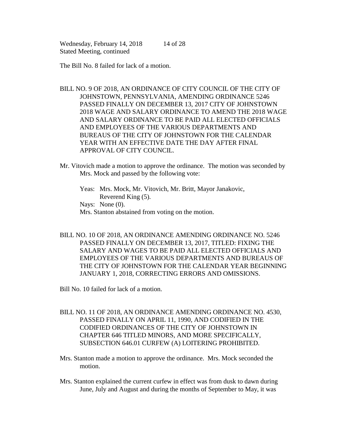The Bill No. 8 failed for lack of a motion.

- BILL NO. 9 OF 2018, AN ORDINANCE OF CITY COUNCIL OF THE CITY OF JOHNSTOWN, PENNSYLVANIA, AMENDING ORDINANCE 5246 PASSED FINALLY ON DECEMBER 13, 2017 CITY OF JOHNSTOWN 2018 WAGE AND SALARY ORDINANCE TO AMEND THE 2018 WAGE AND SALARY ORDINANCE TO BE PAID ALL ELECTED OFFICIALS AND EMPLOYEES OF THE VARIOUS DEPARTMENTS AND BUREAUS OF THE CITY OF JOHNSTOWN FOR THE CALENDAR YEAR WITH AN EFFECTIVE DATE THE DAY AFTER FINAL APPROVAL OF CITY COUNCIL.
- Mr. Vitovich made a motion to approve the ordinance. The motion was seconded by Mrs. Mock and passed by the following vote:

Yeas: Mrs. Mock, Mr. Vitovich, Mr. Britt, Mayor Janakovic, Reverend King (5). Nays: None  $(0)$ .

Mrs. Stanton abstained from voting on the motion.

BILL NO. 10 OF 2018, AN ORDINANCE AMENDING ORDINANCE NO. 5246 PASSED FINALLY ON DECEMBER 13, 2017, TITLED: FIXING THE SALARY AND WAGES TO BE PAID ALL ELECTED OFFICIALS AND EMPLOYEES OF THE VARIOUS DEPARTMENTS AND BUREAUS OF THE CITY OF JOHNSTOWN FOR THE CALENDAR YEAR BEGINNING JANUARY 1, 2018, CORRECTING ERRORS AND OMISSIONS.

Bill No. 10 failed for lack of a motion.

- BILL NO. 11 OF 2018, AN ORDINANCE AMENDING ORDINANCE NO. 4530, PASSED FINALLY ON APRIL 11, 1990, AND CODIFIED IN THE CODIFIED ORDINANCES OF THE CITY OF JOHNSTOWN IN CHAPTER 646 TITLED MINORS, AND MORE SPECIFICALLY, SUBSECTION 646.01 CURFEW (A) LOITERING PROHIBITED.
- Mrs. Stanton made a motion to approve the ordinance. Mrs. Mock seconded the motion.
- Mrs. Stanton explained the current curfew in effect was from dusk to dawn during June, July and August and during the months of September to May, it was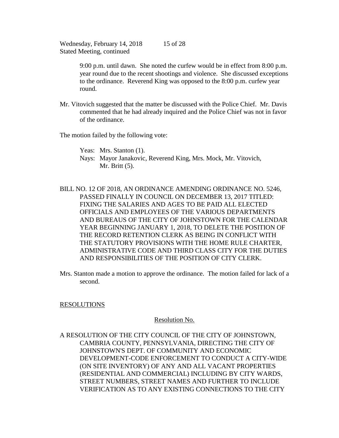> 9:00 p.m. until dawn. She noted the curfew would be in effect from 8:00 p.m. year round due to the recent shootings and violence. She discussed exceptions to the ordinance. Reverend King was opposed to the 8:00 p.m. curfew year round.

Mr. Vitovich suggested that the matter be discussed with the Police Chief. Mr. Davis commented that he had already inquired and the Police Chief was not in favor of the ordinance.

The motion failed by the following vote:

Yeas: Mrs. Stanton (1).

- Nays: Mayor Janakovic, Reverend King, Mrs. Mock, Mr. Vitovich, Mr. Britt (5).
- BILL NO. 12 OF 2018, AN ORDINANCE AMENDING ORDINANCE NO. 5246, PASSED FINALLY IN COUNCIL ON DECEMBER 13, 2017 TITLED: FIXING THE SALARIES AND AGES TO BE PAID ALL ELECTED OFFICIALS AND EMPLOYEES OF THE VARIOUS DEPARTMENTS AND BUREAUS OF THE CITY OF JOHNSTOWN FOR THE CALENDAR YEAR BEGINNING JANUARY 1, 2018, TO DELETE THE POSITION OF THE RECORD RETENTION CLERK AS BEING IN CONFLICT WITH THE STATUTORY PROVISIONS WITH THE HOME RULE CHARTER, ADMINISTRATIVE CODE AND THIRD CLASS CITY FOR THE DUTIES AND RESPONSIBILITIES OF THE POSITION OF CITY CLERK.
- Mrs. Stanton made a motion to approve the ordinance. The motion failed for lack of a second.

# RESOLUTIONS

# Resolution No.

A RESOLUTION OF THE CITY COUNCIL OF THE CITY OF JOHNSTOWN, CAMBRIA COUNTY, PENNSYLVANIA, DIRECTING THE CITY OF JOHNSTOWN'S DEPT. OF COMMUNITY AND ECONOMIC DEVELOPMENT-CODE ENFORCEMENT TO CONDUCT A CITY-WIDE (ON SITE INVENTORY) OF ANY AND ALL VACANT PROPERTIES (RESIDENTIAL AND COMMERCIAL) INCLUDING BY CITY WARDS, STREET NUMBERS, STREET NAMES AND FURTHER TO INCLUDE VERIFICATION AS TO ANY EXISTING CONNECTIONS TO THE CITY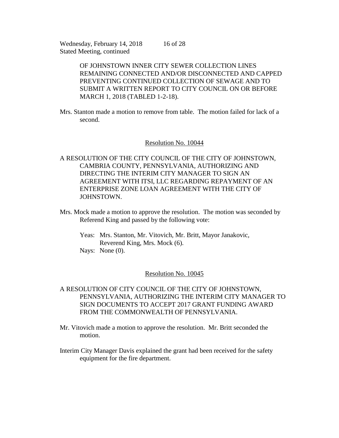> OF JOHNSTOWN INNER CITY SEWER COLLECTION LINES REMAINING CONNECTED AND/OR DISCONNECTED AND CAPPED PREVENTING CONTINUED COLLECTION OF SEWAGE AND TO SUBMIT A WRITTEN REPORT TO CITY COUNCIL ON OR BEFORE MARCH 1, 2018 (TABLED 1-2-18).

Mrs. Stanton made a motion to remove from table. The motion failed for lack of a second.

### Resolution No. 10044

- A RESOLUTION OF THE CITY COUNCIL OF THE CITY OF JOHNSTOWN, CAMBRIA COUNTY, PENNSYLVANIA, AUTHORIZING AND DIRECTING THE INTERIM CITY MANAGER TO SIGN AN AGREEMENT WITH ITSI, LLC REGARDING REPAYMENT OF AN ENTERPRISE ZONE LOAN AGREEMENT WITH THE CITY OF JOHNSTOWN.
- Mrs. Mock made a motion to approve the resolution. The motion was seconded by Referend King and passed by the following vote:
	- Yeas: Mrs. Stanton, Mr. Vitovich, Mr. Britt, Mayor Janakovic, Reverend King, Mrs. Mock (6). Nays: None (0).

#### Resolution No. 10045

- A RESOLUTION OF CITY COUNCIL OF THE CITY OF JOHNSTOWN, PENNSYLVANIA, AUTHORIZING THE INTERIM CITY MANAGER TO SIGN DOCUMENTS TO ACCEPT 2017 GRANT FUNDING AWARD FROM THE COMMONWEALTH OF PENNSYLVANIA.
- Mr. Vitovich made a motion to approve the resolution. Mr. Britt seconded the motion.
- Interim City Manager Davis explained the grant had been received for the safety equipment for the fire department.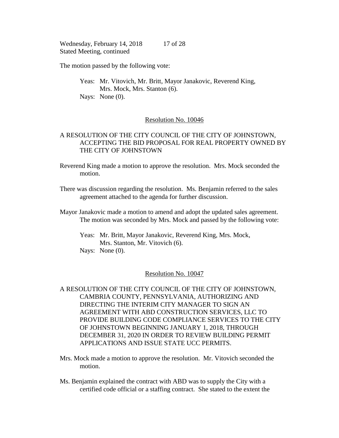The motion passed by the following vote:

Yeas: Mr. Vitovich, Mr. Britt, Mayor Janakovic, Reverend King, Mrs. Mock, Mrs. Stanton (6). Nays: None  $(0)$ .

# Resolution No. 10046

# A RESOLUTION OF THE CITY COUNCIL OF THE CITY OF JOHNSTOWN, ACCEPTING THE BID PROPOSAL FOR REAL PROPERTY OWNED BY THE CITY OF JOHNSTOWN

- Reverend King made a motion to approve the resolution. Mrs. Mock seconded the motion.
- There was discussion regarding the resolution. Ms. Benjamin referred to the sales agreement attached to the agenda for further discussion.
- Mayor Janakovic made a motion to amend and adopt the updated sales agreement. The motion was seconded by Mrs. Mock and passed by the following vote:
	- Yeas: Mr. Britt, Mayor Janakovic, Reverend King, Mrs. Mock, Mrs. Stanton, Mr. Vitovich (6). Nays: None (0).

## Resolution No. 10047

- A RESOLUTION OF THE CITY COUNCIL OF THE CITY OF JOHNSTOWN, CAMBRIA COUNTY, PENNSYLVANIA, AUTHORIZING AND DIRECTING THE INTERIM CITY MANAGER TO SIGN AN AGREEMENT WITH ABD CONSTRUCTION SERVICES, LLC TO PROVIDE BUILDING CODE COMPLIANCE SERVICES TO THE CITY OF JOHNSTOWN BEGINNING JANUARY 1, 2018, THROUGH DECEMBER 31, 2020 IN ORDER TO REVIEW BUILDING PERMIT APPLICATIONS AND ISSUE STATE UCC PERMITS.
- Mrs. Mock made a motion to approve the resolution. Mr. Vitovich seconded the motion.
- Ms. Benjamin explained the contract with ABD was to supply the City with a certified code official or a staffing contract. She stated to the extent the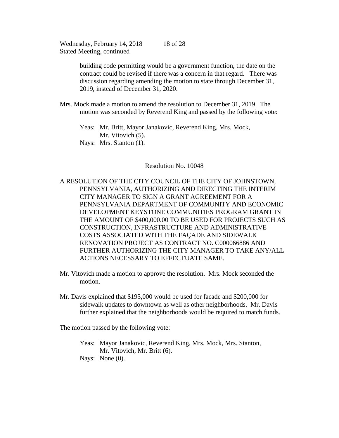> building code permitting would be a government function, the date on the contract could be revised if there was a concern in that regard. There was discussion regarding amending the motion to state through December 31, 2019, instead of December 31, 2020.

Mrs. Mock made a motion to amend the resolution to December 31, 2019. The motion was seconded by Reverend King and passed by the following vote:

Yeas: Mr. Britt, Mayor Janakovic, Reverend King, Mrs. Mock, Mr. Vitovich  $(5)$ . Nays: Mrs. Stanton (1).

#### Resolution No. 10048

A RESOLUTION OF THE CITY COUNCIL OF THE CITY OF JOHNSTOWN, PENNSYLVANIA, AUTHORIZING AND DIRECTING THE INTERIM CITY MANAGER TO SIGN A GRANT AGREEMENT FOR A PENNSYLVANIA DEPARTMENT OF COMMUNITY AND ECONOMIC DEVELOPMENT KEYSTONE COMMUNITIES PROGRAM GRANT IN THE AMOUNT OF \$400,000.00 TO BE USED FOR PROJECTS SUCH AS CONSTRUCTION, INFRASTRUCTURE AND ADMINISTRATIVE COSTS ASSOCIATED WITH THE FAÇADE AND SIDEWALK RENOVATION PROJECT AS CONTRACT NO. C000066886 AND FURTHER AUTHORIZING THE CITY MANAGER TO TAKE ANY/ALL ACTIONS NECESSARY TO EFFECTUATE SAME.

- Mr. Vitovich made a motion to approve the resolution. Mrs. Mock seconded the motion.
- Mr. Davis explained that \$195,000 would be used for facade and \$200,000 for sidewalk updates to downtown as well as other neighborhoods. Mr. Davis further explained that the neighborhoods would be required to match funds.

The motion passed by the following vote:

Yeas: Mayor Janakovic, Reverend King, Mrs. Mock, Mrs. Stanton, Mr. Vitovich, Mr. Britt (6). Nays: None (0).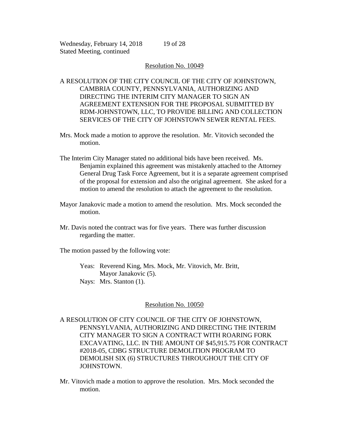19 of 28

# A RESOLUTION OF THE CITY COUNCIL OF THE CITY OF JOHNSTOWN, CAMBRIA COUNTY, PENNSYLVANIA, AUTHORIZING AND DIRECTING THE INTERIM CITY MANAGER TO SIGN AN AGREEMENT EXTENSION FOR THE PROPOSAL SUBMITTED BY RDM-JOHNSTOWN, LLC, TO PROVIDE BILLING AND COLLECTION SERVICES OF THE CITY OF JOHNSTOWN SEWER RENTAL FEES.

- Mrs. Mock made a motion to approve the resolution. Mr. Vitovich seconded the motion.
- The Interim City Manager stated no additional bids have been received. Ms. Benjamin explained this agreement was mistakenly attached to the Attorney General Drug Task Force Agreement, but it is a separate agreement comprised of the proposal for extension and also the original agreement. She asked for a motion to amend the resolution to attach the agreement to the resolution.
- Mayor Janakovic made a motion to amend the resolution. Mrs. Mock seconded the motion.
- Mr. Davis noted the contract was for five years. There was further discussion regarding the matter.

The motion passed by the following vote:

Yeas: Reverend King, Mrs. Mock, Mr. Vitovich, Mr. Britt, Mayor Janakovic (5).

Nays: Mrs. Stanton (1).

# Resolution No. 10050

A RESOLUTION OF CITY COUNCIL OF THE CITY OF JOHNSTOWN, PENNSYLVANIA, AUTHORIZING AND DIRECTING THE INTERIM CITY MANAGER TO SIGN A CONTRACT WITH ROARING FORK EXCAVATING, LLC. IN THE AMOUNT OF \$45,915.75 FOR CONTRACT #2018-05, CDBG STRUCTURE DEMOLITION PROGRAM TO DEMOLISH SIX (6) STRUCTURES THROUGHOUT THE CITY OF JOHNSTOWN.

Mr. Vitovich made a motion to approve the resolution. Mrs. Mock seconded the motion.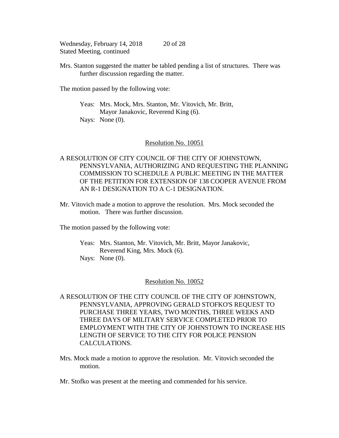Mrs. Stanton suggested the matter be tabled pending a list of structures. There was further discussion regarding the matter.

The motion passed by the following vote:

Yeas: Mrs. Mock, Mrs. Stanton, Mr. Vitovich, Mr. Britt, Mayor Janakovic, Reverend King (6). Nays: None  $(0)$ .

#### Resolution No. 10051

A RESOLUTION OF CITY COUNCIL OF THE CITY OF JOHNSTOWN, PENNSYLVANIA, AUTHORIZING AND REQUESTING THE PLANNING COMMISSION TO SCHEDULE A PUBLIC MEETING IN THE MATTER OF THE PETITION FOR EXTENSION OF 138 COOPER AVENUE FROM AN R-1 DESIGNATION TO A C-1 DESIGNATION.

Mr. Vitovich made a motion to approve the resolution. Mrs. Mock seconded the motion. There was further discussion.

The motion passed by the following vote:

Yeas: Mrs. Stanton, Mr. Vitovich, Mr. Britt, Mayor Janakovic, Reverend King, Mrs. Mock (6). Nays: None (0).

#### Resolution No. 10052

- A RESOLUTION OF THE CITY COUNCIL OF THE CITY OF JOHNSTOWN, PENNSYLVANIA, APPROVING GERALD STOFKO'S REQUEST TO PURCHASE THREE YEARS, TWO MONTHS, THREE WEEKS AND THREE DAYS OF MILITARY SERVICE COMPLETED PRIOR TO EMPLOYMENT WITH THE CITY OF JOHNSTOWN TO INCREASE HIS LENGTH OF SERVICE TO THE CITY FOR POLICE PENSION CALCULATIONS.
- Mrs. Mock made a motion to approve the resolution. Mr. Vitovich seconded the motion.

Mr. Stofko was present at the meeting and commended for his service.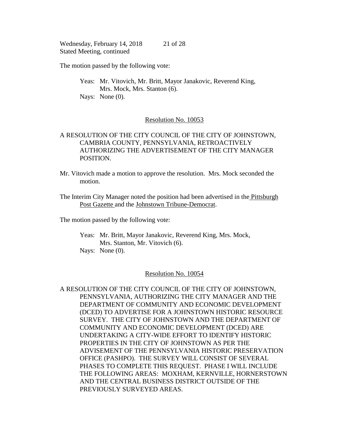The motion passed by the following vote:

Yeas: Mr. Vitovich, Mr. Britt, Mayor Janakovic, Reverend King, Mrs. Mock, Mrs. Stanton (6). Nays: None  $(0)$ .

## Resolution No. 10053

# A RESOLUTION OF THE CITY COUNCIL OF THE CITY OF JOHNSTOWN, CAMBRIA COUNTY, PENNSYLVANIA, RETROACTIVELY AUTHORIZING THE ADVERTISEMENT OF THE CITY MANAGER POSITION.

- Mr. Vitovich made a motion to approve the resolution. Mrs. Mock seconded the motion.
- The Interim City Manager noted the position had been advertised in the Pittsburgh Post Gazette and the Johnstown Tribune-Democrat.

The motion passed by the following vote:

Yeas: Mr. Britt, Mayor Janakovic, Reverend King, Mrs. Mock, Mrs. Stanton, Mr. Vitovich (6). Nays: None (0).

## Resolution No. 10054

A RESOLUTION OF THE CITY COUNCIL OF THE CITY OF JOHNSTOWN, PENNSYLVANIA, AUTHORIZING THE CITY MANAGER AND THE DEPARTMENT OF COMMUNITY AND ECONOMIC DEVELOPMENT (DCED) TO ADVERTISE FOR A JOHNSTOWN HISTORIC RESOURCE SURVEY. THE CITY OF JOHNSTOWN AND THE DEPARTMENT OF COMMUNITY AND ECONOMIC DEVELOPMENT (DCED) ARE UNDERTAKING A CITY-WIDE EFFORT TO IDENTIFY HISTORIC PROPERTIES IN THE CITY OF JOHNSTOWN AS PER THE ADVISEMENT OF THE PENNSYLVANIA HISTORIC PRESERVATION OFFICE (PASHPO). THE SURVEY WILL CONSIST OF SEVERAL PHASES TO COMPLETE THIS REQUEST. PHASE I WILL INCLUDE THE FOLLOWING AREAS: MOXHAM, KERNVILLE, HORNERSTOWN AND THE CENTRAL BUSINESS DISTRICT OUTSIDE OF THE PREVIOUSLY SURVEYED AREAS.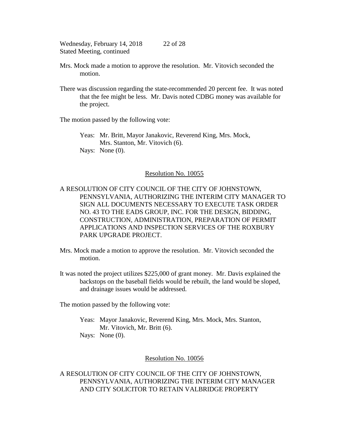- Mrs. Mock made a motion to approve the resolution. Mr. Vitovich seconded the motion.
- There was discussion regarding the state-recommended 20 percent fee. It was noted that the fee might be less. Mr. Davis noted CDBG money was available for the project.

The motion passed by the following vote:

Yeas: Mr. Britt, Mayor Janakovic, Reverend King, Mrs. Mock, Mrs. Stanton, Mr. Vitovich (6). Nays: None (0).

# Resolution No. 10055

A RESOLUTION OF CITY COUNCIL OF THE CITY OF JOHNSTOWN, PENNSYLVANIA, AUTHORIZING THE INTERIM CITY MANAGER TO SIGN ALL DOCUMENTS NECESSARY TO EXECUTE TASK ORDER NO. 43 TO THE EADS GROUP, INC. FOR THE DESIGN, BIDDING, CONSTRUCTION, ADMINISTRATION, PREPARATION OF PERMIT APPLICATIONS AND INSPECTION SERVICES OF THE ROXBURY PARK UPGRADE PROJECT.

- Mrs. Mock made a motion to approve the resolution. Mr. Vitovich seconded the motion.
- It was noted the project utilizes \$225,000 of grant money. Mr. Davis explained the backstops on the baseball fields would be rebuilt, the land would be sloped, and drainage issues would be addressed.

The motion passed by the following vote:

Yeas: Mayor Janakovic, Reverend King, Mrs. Mock, Mrs. Stanton, Mr. Vitovich, Mr. Britt (6).

Nays: None (0).

# Resolution No. 10056

A RESOLUTION OF CITY COUNCIL OF THE CITY OF JOHNSTOWN, PENNSYLVANIA, AUTHORIZING THE INTERIM CITY MANAGER AND CITY SOLICITOR TO RETAIN VALBRIDGE PROPERTY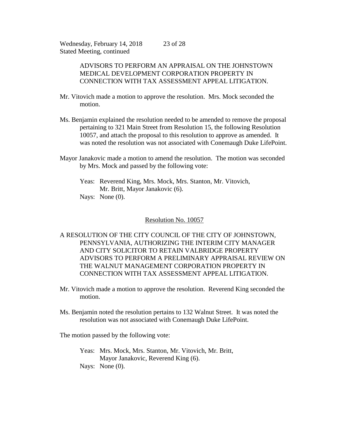> ADVISORS TO PERFORM AN APPRAISAL ON THE JOHNSTOWN MEDICAL DEVELOPMENT CORPORATION PROPERTY IN CONNECTION WITH TAX ASSESSMENT APPEAL LITIGATION.

- Mr. Vitovich made a motion to approve the resolution. Mrs. Mock seconded the motion.
- Ms. Benjamin explained the resolution needed to be amended to remove the proposal pertaining to 321 Main Street from Resolution 15, the following Resolution 10057, and attach the proposal to this resolution to approve as amended. It was noted the resolution was not associated with Conemaugh Duke LifePoint.
- Mayor Janakovic made a motion to amend the resolution. The motion was seconded by Mrs. Mock and passed by the following vote:

Yeas: Reverend King, Mrs. Mock, Mrs. Stanton, Mr. Vitovich, Mr. Britt, Mayor Janakovic (6). Nays: None (0).

#### Resolution No. 10057

A RESOLUTION OF THE CITY COUNCIL OF THE CITY OF JOHNSTOWN, PENNSYLVANIA, AUTHORIZING THE INTERIM CITY MANAGER AND CITY SOLICITOR TO RETAIN VALBRIDGE PROPERTY ADVISORS TO PERFORM A PRELIMINARY APPRAISAL REVIEW ON THE WALNUT MANAGEMENT CORPORATION PROPERTY IN CONNECTION WITH TAX ASSESSMENT APPEAL LITIGATION.

- Mr. Vitovich made a motion to approve the resolution. Reverend King seconded the motion.
- Ms. Benjamin noted the resolution pertains to 132 Walnut Street. It was noted the resolution was not associated with Conemaugh Duke LifePoint.

The motion passed by the following vote:

Yeas: Mrs. Mock, Mrs. Stanton, Mr. Vitovich, Mr. Britt, Mayor Janakovic, Reverend King (6). Nays: None (0).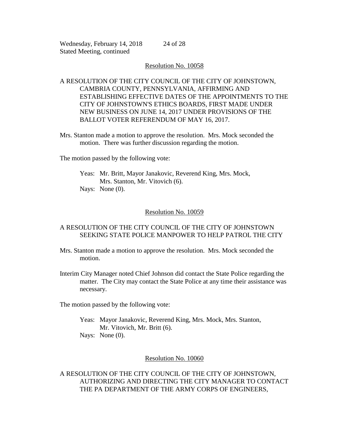#### Resolution No. 10058

24 of 28

# A RESOLUTION OF THE CITY COUNCIL OF THE CITY OF JOHNSTOWN, CAMBRIA COUNTY, PENNSYLVANIA, AFFIRMING AND ESTABLISHING EFFECTIVE DATES OF THE APPOINTMENTS TO THE CITY OF JOHNSTOWN'S ETHICS BOARDS, FIRST MADE UNDER NEW BUSINESS ON JUNE 14, 2017 UNDER PROVISIONS OF THE BALLOT VOTER REFERENDUM OF MAY 16, 2017.

Mrs. Stanton made a motion to approve the resolution. Mrs. Mock seconded the motion. There was further discussion regarding the motion.

The motion passed by the following vote:

Yeas: Mr. Britt, Mayor Janakovic, Reverend King, Mrs. Mock, Mrs. Stanton, Mr. Vitovich (6). Nays: None  $(0)$ .

# Resolution No. 10059

# A RESOLUTION OF THE CITY COUNCIL OF THE CITY OF JOHNSTOWN SEEKING STATE POLICE MANPOWER TO HELP PATROL THE CITY

- Mrs. Stanton made a motion to approve the resolution. Mrs. Mock seconded the motion.
- Interim City Manager noted Chief Johnson did contact the State Police regarding the matter. The City may contact the State Police at any time their assistance was necessary.

The motion passed by the following vote:

Yeas: Mayor Janakovic, Reverend King, Mrs. Mock, Mrs. Stanton, Mr. Vitovich, Mr. Britt (6).

Nays: None (0).

# Resolution No. 10060

A RESOLUTION OF THE CITY COUNCIL OF THE CITY OF JOHNSTOWN, AUTHORIZING AND DIRECTING THE CITY MANAGER TO CONTACT THE PA DEPARTMENT OF THE ARMY CORPS OF ENGINEERS,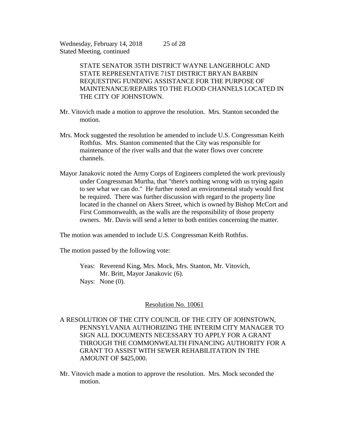> STATE SENATOR 35TH DISTRICT WAYNE LANGERHOLC AND STATE REPRESENTATIVE 71ST DISTRICT BRYAN BARBIN REQUESTING FUNDING ASSISTANCE FOR THE PURPOSE OF MAINTENANCE/REPAIRS TO THE FLOOD CHANNELS LOCATED IN THE CITY OF JOHNSTOWN.

- Mr. Vitovich made a motion to approve the resolution. Mrs. Stanton seconded the motion.
- Mrs. Mock suggested the resolution be amended to include U.S. Congressman Keith Rothfus. Mrs. Stanton commented that the City was responsible for maintenance of the river walls and that the water flows over concrete channels.
- Mayor Janakovic noted the Army Corps of Engineers completed the work previously under Congressman Murtha, that "there's nothing wrong with us trying again to see what we can do." He further noted an environmental study would first be required. There was further discussion with regard to the property line located in the channel on Akers Street, which is owned by Bishop McCort and First Commonwealth, as the walls are the responsibility of those property owners. Mr. Davis will send a letter to both entities concerning the matter.

The motion was amended to include U.S. Congressman Keith Rothfus.

The motion passed by the following vote:

Yeas: Reverend King, Mrs. Mock, Mrs. Stanton, Mr. Vitovich, Mr. Britt, Mayor Janakovic (6).

Nays: None  $(0)$ .

# Resolution No. 10061

# A RESOLUTION OF THE CITY COUNCIL OF THE CITY OF JOHNSTOWN, PENNSYLVANIA AUTHORIZING THE INTERIM CITY MANAGER TO SIGN ALL DOCUMENTS NECESSARY TO APPLY FOR A GRANT THROUGH THE COMMONWEALTH FINANCING AUTHORITY FOR A GRANT TO ASSIST WITH SEWER REHABILITATION IN THE AMOUNT OF \$425,000.

Mr. Vitovich made a motion to approve the resolution. Mrs. Mock seconded the motion.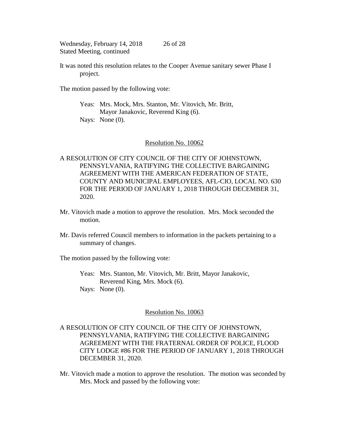It was noted this resolution relates to the Cooper Avenue sanitary sewer Phase I project.

The motion passed by the following vote:

Yeas: Mrs. Mock, Mrs. Stanton, Mr. Vitovich, Mr. Britt, Mayor Janakovic, Reverend King (6). Nays: None (0).

#### Resolution No. 10062

A RESOLUTION OF CITY COUNCIL OF THE CITY OF JOHNSTOWN, PENNSYLVANIA, RATIFYING THE COLLECTIVE BARGAINING AGREEMENT WITH THE AMERICAN FEDERATION OF STATE, COUNTY AND MUNICIPAL EMPLOYEES, AFL-CIO, LOCAL NO. 630 FOR THE PERIOD OF JANUARY 1, 2018 THROUGH DECEMBER 31, 2020.

- Mr. Vitovich made a motion to approve the resolution. Mrs. Mock seconded the motion.
- Mr. Davis referred Council members to information in the packets pertaining to a summary of changes.

The motion passed by the following vote:

Yeas: Mrs. Stanton, Mr. Vitovich, Mr. Britt, Mayor Janakovic, Reverend King, Mrs. Mock (6). Nays: None (0).

#### Resolution No. 10063

A RESOLUTION OF CITY COUNCIL OF THE CITY OF JOHNSTOWN, PENNSYLVANIA, RATIFYING THE COLLECTIVE BARGAINING AGREEMENT WITH THE FRATERNAL ORDER OF POLICE, FLOOD CITY LODGE #86 FOR THE PERIOD OF JANUARY 1, 2018 THROUGH DECEMBER 31, 2020.

Mr. Vitovich made a motion to approve the resolution. The motion was seconded by Mrs. Mock and passed by the following vote: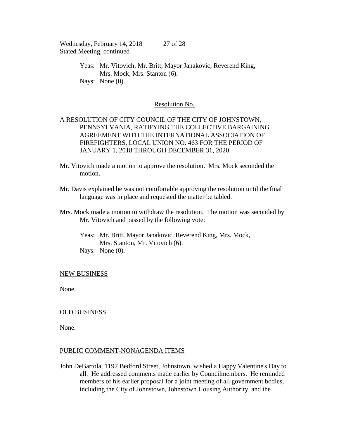> Yeas: Mr. Vitovich, Mr. Britt, Mayor Janakovic, Reverend King, Mrs. Mock, Mrs. Stanton (6). Nays: None  $(0)$ .

## Resolution No.

# A RESOLUTION OF CITY COUNCIL OF THE CITY OF JOHNSTOWN, PENNSYLVANIA, RATIFYING THE COLLECTIVE BARGAINING AGREEMENT WITH THE INTERNATIONAL ASSOCIATION OF FIREFIGHTERS, LOCAL UNION NO. 463 FOR THE PERIOD OF JANUARY 1, 2018 THROUGH DECEMBER 31, 2020.

- Mr. Vitovich made a motion to approve the resolution. Mrs. Mock seconded the motion.
- Mr. Davis explained he was not comfortable approving the resolution until the final language was in place and requested the matter be tabled.
- Mrs. Mock made a motion to withdraw the resolution. The motion was seconded by Mr. Vitovich and passed by the following vote:
	- Yeas: Mr. Britt, Mayor Janakovic, Reverend King, Mrs. Mock, Mrs. Stanton, Mr. Vitovich (6). Nays: None (0).

#### NEW BUSINESS

None.

# OLD BUSINESS

None.

#### PUBLIC COMMENT-NONAGENDA ITEMS

John DeBartola, 1197 Bedford Street, Johnstown, wished a Happy Valentine's Day to all. He addressed comments made earlier by Councilmembers. He reminded members of his earlier proposal for a joint meeting of all government bodies, including the City of Johnstown, Johnstown Housing Authority, and the